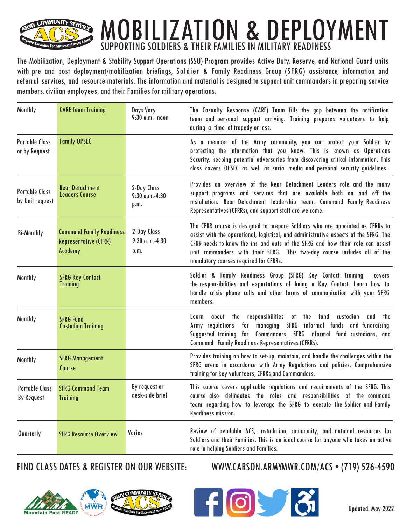

## MOBILIZATION & DEPLOYMENT SUPPORTING SOLDIERS & THEIR FAMILIES IN MILITARY READINESS

The Mobilization, Deployment & Stability Support Operations (SSO) Program provides Active Duty, Reserve, and National Guard units with pre and post deployment/mobilization briefings, Soldier & Family Readiness Group (SFRG) assistance, information and referral services, and resource materials. The information and material is designed to support unit commanders in preparing service members, civilian employees, and their Families for military operations.

| <b>Monthly</b>                             | <b>CARE Team Training</b>                                                         | Days Vary<br>9:30 a.m. noon                | The Casualty Response (CARE) Team fills the gap between the notification<br>team and personal support arriving. Training prepares volunteers to help<br>during a time of tragedy or loss.                                                                                                                                                                                   |  |
|--------------------------------------------|-----------------------------------------------------------------------------------|--------------------------------------------|-----------------------------------------------------------------------------------------------------------------------------------------------------------------------------------------------------------------------------------------------------------------------------------------------------------------------------------------------------------------------------|--|
| <b>Portable Class</b><br>or by Request     | <b>Family OPSEC</b>                                                               |                                            | As a member of the Army community, you can protect your Soldier by<br>protecting the information that you know. This is known as Operations<br>Security, keeping potential adversaries from discovering critical information. This<br>class covers OPSEC as well as social media and personal security guidelines.                                                          |  |
| <b>Portable Class</b><br>by Unit request   | <b>Rear Detachment</b><br><b>Leaders Course</b>                                   | 2-Day Class<br>$9:30$ a.m. $4:30$<br>p.m.  | Provides an overview of the Rear Detachment Leaders role and the many<br>support programs and services that are available both on and off the<br>installation. Rear Detachment leadership team, Command Family Readiness<br>Representatives (CFRRs), and support staff are welcome.                                                                                         |  |
| <b>Bi-Monthly</b>                          | <b>Command Family Readiness</b><br><b>Representative (CFRR)</b><br><b>Academy</b> | 2-Day Class<br>$9:30$ a.m. $-4:30$<br>p.m. | The CFRR course is designed to prepare Soldiers who are appointed as CFRRs to<br>assist with the operational, logistical, and administrative aspects of the SFRG. The<br>CFRR needs to know the ins and outs of the SFRG and how their role can assist<br>unit commanders with their SFRG. This two-day course includes all of the<br>mandatory courses required for CFRRs. |  |
| <b>Monthly</b>                             | <b>SFRG Key Contact</b><br><b>Training</b>                                        |                                            | Soldier & Family Readiness Group (SFRG) Key Contact training<br>covers<br>the responsibilities and expectations of being a Key Contact. Learn how to<br>handle crisis phone calls and other forms of communication with your SFRG<br>members.                                                                                                                               |  |
| Monthly                                    | <b>SFRG Fund</b><br><b>Custodian Training</b>                                     |                                            | about the responsibilities of the fund custodian<br>and the<br>Learn<br>Army regulations for managing SFRG informal funds and fundraising.<br>Suggested training for Commanders, SFRG informal fund custodians, and<br><b>Command Family Readiness Representatives (CFRRs).</b>                                                                                             |  |
| <b>Monthly</b>                             | <b>SFRG Management</b><br>Course                                                  |                                            | Provides training on how to set-up, maintain, and handle the challenges within the<br>SFRG arena in accordance with Army Regulations and policies. Comprehensive<br>training for key volunteers, CFRRs and Commanders.                                                                                                                                                      |  |
| <b>Portable Class</b><br><b>By Request</b> | <b>SFRG Command Team</b><br><b>Training</b>                                       | By request or<br>desk-side brief           | This course covers applicable regulations and requirements of the SFRG. This<br>course also delineates the roles and responsibilities of the command<br>team regarding how to leverage the SFRG to execute the Soldier and Family<br><b>Readiness mission.</b>                                                                                                              |  |
| Quarterly                                  | <b>SFRG Resource Overview</b>                                                     | <b>Varies</b>                              | Review of available ACS, Installation, community, and national resources for<br>Soldiers and their Families. This is an ideal course for anyone who takes an active<br>role in helping Soldiers and Families.                                                                                                                                                               |  |



## FIND CLASS DATES & REGISTER ON OUR WEBSITE: WWW.CARSON.ARMYMWR.COM/ACS • (719) 526-4590